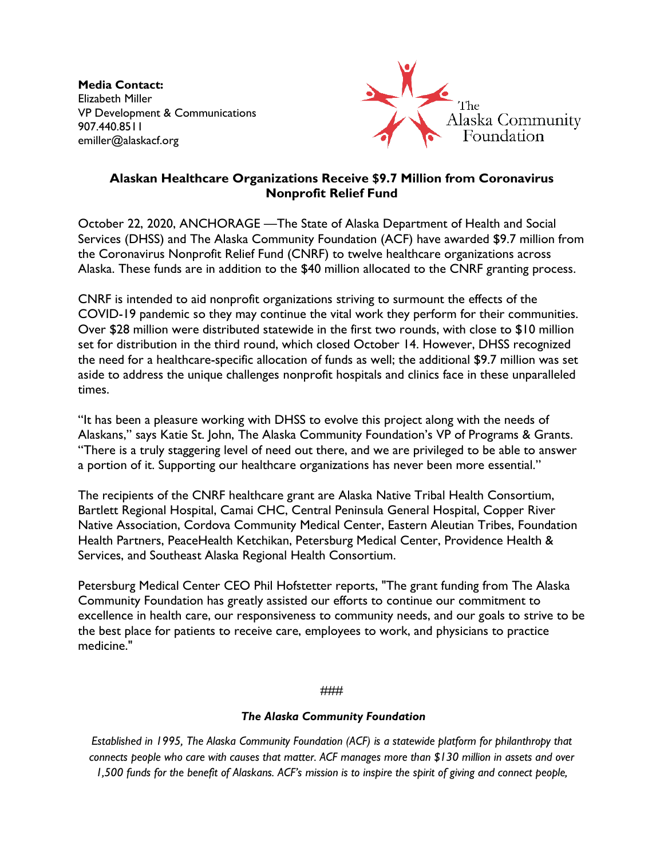**Media Contact:** Elizabeth Miller VP Development & Communications 907.440.8511 emiller@alaskacf.org



## **Alaskan Healthcare Organizations Receive \$9.7 Million from Coronavirus Nonprofit Relief Fund**

October 22, 2020, ANCHORAGE —The State of Alaska Department of Health and Social Services (DHSS) and The Alaska Community Foundation (ACF) have awarded \$9.7 million from the Coronavirus Nonprofit Relief Fund (CNRF) to twelve healthcare organizations across Alaska. These funds are in addition to the \$40 million allocated to the CNRF granting process.

CNRF is intended to aid nonprofit organizations striving to surmount the effects of the COVID-19 pandemic so they may continue the vital work they perform for their communities. Over \$28 million were distributed statewide in the first two rounds, with close to \$10 million set for distribution in the third round, which closed October 14. However, DHSS recognized the need for a healthcare-specific allocation of funds as well; the additional \$9.7 million was set aside to address the unique challenges nonprofit hospitals and clinics face in these unparalleled times.

"It has been a pleasure working with DHSS to evolve this project along with the needs of Alaskans," says Katie St. John, The Alaska Community Foundation's VP of Programs & Grants. "There is a truly staggering level of need out there, and we are privileged to be able to answer a portion of it. Supporting our healthcare organizations has never been more essential."

The recipients of the CNRF healthcare grant are Alaska Native Tribal Health Consortium, Bartlett Regional Hospital, Camai CHC, Central Peninsula General Hospital, Copper River Native Association, Cordova Community Medical Center, Eastern Aleutian Tribes, Foundation Health Partners, PeaceHealth Ketchikan, Petersburg Medical Center, Providence Health & Services, and Southeast Alaska Regional Health Consortium.

Petersburg Medical Center CEO Phil Hofstetter reports, "The grant funding from The Alaska Community Foundation has greatly assisted our efforts to continue our commitment to excellence in health care, our responsiveness to community needs, and our goals to strive to be the best place for patients to receive care, employees to work, and physicians to practice medicine."

## ###

## *The Alaska Community Foundation*

*Established in 1995, The Alaska Community Foundation (ACF) is a statewide platform for philanthropy that connects people who care with causes that matter. ACF manages more than \$130 million in assets and over 1,500 funds for the benefit of Alaskans. ACF's mission is to inspire the spirit of giving and connect people,*